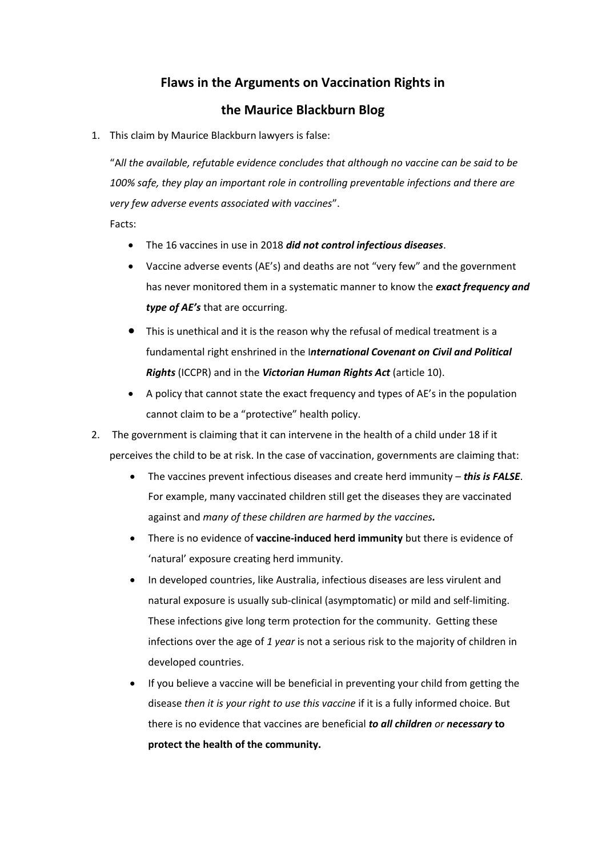## **Flaws in the Arguments on Vaccination Rights in**

## **the Maurice Blackburn Blog**

1. This claim by Maurice Blackburn lawyers is false:

"A*ll the available, refutable evidence concludes that although no vaccine can be said to be 100% safe, they play an important role in controlling preventable infections and there are very few adverse events associated with vaccines*".

Facts:

- The 16 vaccines in use in 2018 *did not control infectious diseases*.
- Vaccine adverse events (AE's) and deaths are not "very few" and the government has never monitored them in a systematic manner to know the *exact frequency and type of AE's* that are occurring.
- This is unethical and it is the reason why the refusal of medical treatment is a fundamental right enshrined in the I*nternational Covenant on Civil and Political Rights* (ICCPR) and in the *Victorian Human Rights Act* (article 10).
- A policy that cannot state the exact frequency and types of AE's in the population cannot claim to be a "protective" health policy.
- 2. The government is claiming that it can intervene in the health of a child under 18 if it perceives the child to be at risk. In the case of vaccination, governments are claiming that:
	- The vaccines prevent infectious diseases and create herd immunity *this is FALSE*. For example, many vaccinated children still get the diseases they are vaccinated against and *many of these children are harmed by the vaccines.*
	- There is no evidence of **vaccine-induced herd immunity** but there is evidence of 'natural' exposure creating herd immunity.
	- In developed countries, like Australia, infectious diseases are less virulent and natural exposure is usually sub-clinical (asymptomatic) or mild and self-limiting. These infections give long term protection for the community. Getting these infections over the age of *1 year* is not a serious risk to the majority of children in developed countries.
	- If you believe a vaccine will be beneficial in preventing your child from getting the disease *then it is your right to use this vaccine* if it is a fully informed choice. But there is no evidence that vaccines are beneficial *to all children or necessary* **to protect the health of the community.**